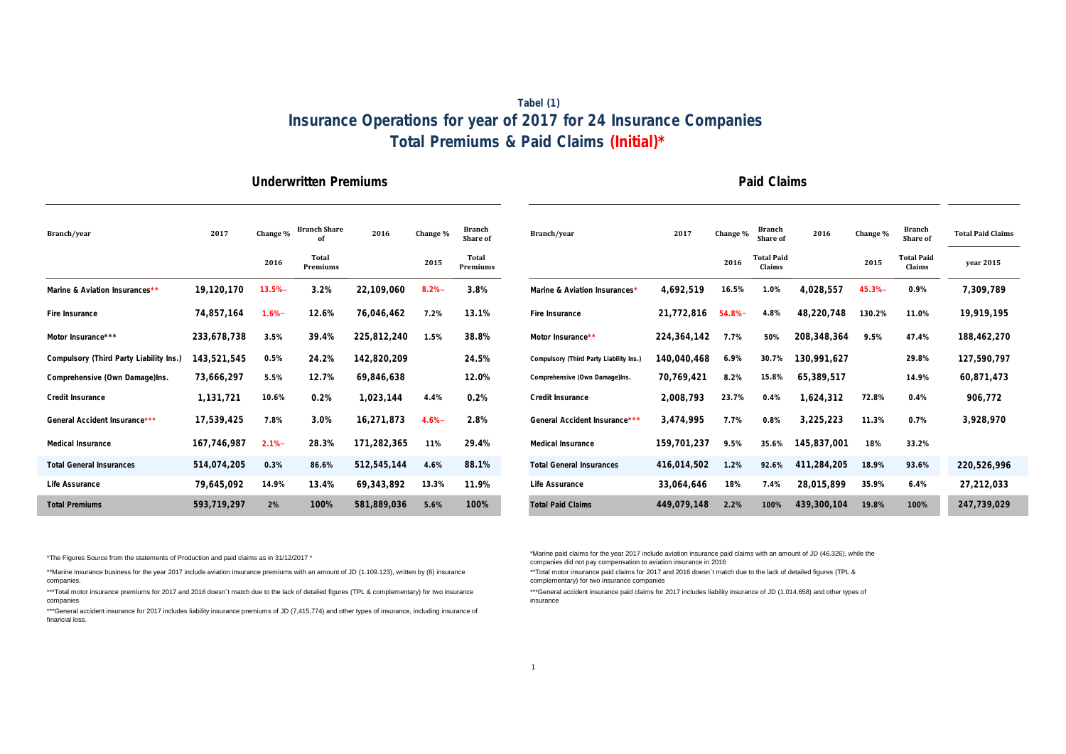## **Tabel (1) Insurance Operations for year of 2017 for 24 Insurance Companies Total Premiums & Paid Claims (Initial)\***

#### **Underwritten Premiums Paid Claims**

| Branch/year                             | 2017        | Change %  | <b>Branch Share</b> | 2016        | Change % | <b>Branch</b><br>Share of | Branch/year                             | 2017          | Change %  | <b>Branch</b><br><b>Share of</b> | 2016        | Change %  | <b>Branch</b><br>Share o   |
|-----------------------------------------|-------------|-----------|---------------------|-------------|----------|---------------------------|-----------------------------------------|---------------|-----------|----------------------------------|-------------|-----------|----------------------------|
|                                         |             | 2016      | Total<br>Premiums   |             | 2015     | Total<br>Premiums         |                                         |               | 2016      | <b>Total Paid</b><br>Claims      |             | 2015      | <b>Total Pai</b><br>Claims |
| Marine & Aviation Insurances**          | 19,120,170  | $13.5% -$ | 3.2%                | 22,109,060  | 8.2%     | 3.8%                      | Marine & Aviation Insurances*           | 4,692,519     | 16.5%     | 1.0%                             | 4,028,557   | $45.3% -$ | 0.9%                       |
| Fire Insurance                          | 74,857,164  | $1.6% -$  | 12.6%               | 76,046,462  | 7.2%     | 13.1%                     | Fire Insurance                          | 21,772,816    | $54.8% -$ | 4.8%                             | 48,220,748  | 130.2%    | 11.0%                      |
| Motor Insurance***                      | 233,678,738 | 3.5%      | 39.4%               | 225,812,240 | 1.5%     | 38.8%                     | Motor Insurance**                       | 224, 364, 142 | 7.7%      | 50%                              | 208,348,364 | 9.5%      | 47.4%                      |
| Compulsory (Third Party Liability Ins.) | 143,521,545 | 0.5%      | 24.2%               | 142,820,209 |          | 24.5%                     | Compulsory (Third Party Liability Ins.) | 140,040,468   | 6.9%      | 30.7%                            | 130,991,627 |           | 29.8%                      |
| Comprehensive (Own Damage)Ins.          | 73,666,297  | 5.5%      | 12.7%               | 69,846,638  |          | 12.0%                     | Comprehensive (Own Damage)Ins.          | 70,769,421    | 8.2%      | 15.8%                            | 65,389,517  |           | 14.9%                      |
| Credit Insurance                        | 1,131,721   | 10.6%     | 0.2%                | 1,023,144   | 4.4%     | 0.2%                      | Credit Insurance                        | 2,008,793     | 23.7%     | 0.4%                             | 1,624,312   | 72.8%     | 0.4%                       |
| General Accident Insurance***           | 17,539,425  | 7.8%      | 3.0%                | 16,271,873  | 4.6%     | 2.8%                      | General Accident Insurance***           | 3,474,995     | 7.7%      | 0.8%                             | 3,225,223   | 11.3%     | 0.7%                       |
| Medical Insurance                       | 167,746,987 | 2.1%      | 28.3%               | 171,282,365 | 11%      | 29.4%                     | Medical Insurance                       | 159,701,237   | 9.5%      | 35.6%                            | 145,837,001 | 18%       | 33.2%                      |
| <b>Total General Insurances</b>         | 514,074,205 | 0.3%      | 86.6%               | 512,545,144 | 4.6%     | 88.1%                     | <b>Total General Insurances</b>         | 416,014,502   | 1.2%      | 92.6%                            | 411,284,205 | 18.9%     | 93.6%                      |
| Life Assurance                          | 79,645,092  | 14.9%     | 13.4%               | 69,343,892  | 13.3%    | 11.9%                     | Life Assurance                          | 33,064,646    | 18%       | 7.4%                             | 28,015,899  | 35.9%     | 6.4%                       |
| <b>Total Premiums</b>                   | 593,719,297 | 2%        | 100%                | 581,889,036 | 5.6%     | 100%                      | <b>Total Paid Claims</b>                | 449,079,148   | 2.2%      | 100%                             | 439,300,104 | 19.8%     | 100%                       |

| Branch/year                             | 2017        | Change %  | <b>Branch Share</b> | 2016        | Change % | <b>Branch</b><br><b>Share of</b> | Branch/year                             | 2017          | Change % | <b>Branch</b><br><b>Share of</b> | 2016        | Change % | <b>Branch</b><br>Share of   | <b>Total Paid Claims</b> |
|-----------------------------------------|-------------|-----------|---------------------|-------------|----------|----------------------------------|-----------------------------------------|---------------|----------|----------------------------------|-------------|----------|-----------------------------|--------------------------|
|                                         |             | 2016      | Total<br>Premiums   |             | 2015     | Total<br>Premiums                |                                         |               | 2016     | <b>Total Paid</b><br>Claims      |             | 2015     | <b>Total Paid</b><br>Claims | vear 2015                |
| Marine & Aviation Insurances**          | 19,120,170  | $13.5% -$ | 3.2%                | 22,109,060  | 8.2%     | 3.8%                             | Marine & Aviation Insurances*           | 4,692,519     | 16.5%    | 1.0%                             | 4,028,557   | 45.3%    | 0.9%                        | 7,309,789                |
| Fire Insurance                          | 74,857,164  | $1.6% -$  | 12.6%               | 76,046,462  | 7.2%     | 13.1%                            | Fire Insurance                          | 21,772,816    | 54.8%    | 4.8%                             | 48,220,748  | 130.2%   | 11.0%                       | 19,919,195               |
| Motor Insurance***                      | 233,678,738 | 3.5%      | 39.4%               | 225,812,240 | 1.5%     | 38.8%                            | Motor Insurance**                       | 224, 364, 142 | 7.7%     | 50%                              | 208,348,364 | 9.5%     | 47.4%                       | 188,462,270              |
| Compulsory (Third Party Liability Ins.) | 143,521,545 | 0.5%      | 24.2%               | 142,820,209 |          | 24.5%                            | Compulsory (Third Party Liability Ins.) | 140,040,468   | 6.9%     | 30.7%                            | 130,991,627 |          | 29.8%                       | 127,590,797              |
| Comprehensive (Own Damage)Ins.          | 73,666,297  | 5.5%      | 12.7%               | 69,846,638  |          | 12.0%                            | Comprehensive (Own Damage)Ins.          | 70,769,421    | 8.2%     | 15.8%                            | 65,389,517  |          | 14.9%                       | 60,871,473               |
| Credit Insurance                        | 1,131,721   | 10.6%     | 0.2%                | 1,023,144   | 4.4%     | 0.2%                             | Credit Insurance                        | 2,008,793     | 23.7%    | 0.4%                             | 1,624,312   | 72.8%    | 0.4%                        | 906,772                  |
| General Accident Insurance***           | 17,539,425  | 7.8%      | 3.0%                | 16,271,873  | 4.6%     | 2.8%                             | General Accident Insurance***           | 3.474.995     | 7.7%     | 0.8%                             | 3,225,223   | 11.3%    | 0.7%                        | 3,928,970                |
| Medical Insurance                       | 167,746,987 | $2.1% -$  | 28.3%               | 171,282,365 | 11%      | 29.4%                            | Medical Insurance                       | 159,701,237   | 9.5%     | 35.6%                            | 145,837,001 | 18%      | 33.2%                       |                          |
| <b>Total General Insurances</b>         | 514,074,205 | 0.3%      | 86.6%               | 512,545,144 | 4.6%     | 88.1%                            | <b>Total General Insurances</b>         | 416,014,502   | 1.2%     | 92.6%                            | 411,284,205 | 18.9%    | 93.6%                       | 220,526,996              |
| Life Assurance                          | 79,645,092  | 14.9%     | 13.4%               | 69,343,892  | 13.3%    | 11.9%                            | Life Assurance                          | 33,064,646    | 18%      | 7.4%                             | 28,015,899  | 35.9%    | 6.4%                        | 27,212,033               |
| <b>Total Premiums</b>                   | 593,719,297 | 2%        | 100%                | 581,889,036 | 5.6%     | 100%                             | <b>Total Paid Claims</b>                | 449,079,148   | 2.2%     | 100%                             | 439,300,104 | 19.8%    | 100%                        | 247,739,029              |

\*The Figures Source from the statements of Production and paid claims as in 31/12/2017 \*

\*\*Marine insurance business for the year 2017 include aviation insurance premiums with an amount of JD (1.109.123), written by (6) insurance companies.

\*\*\*Total motor insurance premiums for 2017 and 2016 doesn`t match due to the lack of detailed figures (TPL & complementary) for two insurance companies

\*\*\*General accident insurance for 2017 includes liability insurance premiums of JD (7,415,774) and other types of insurance, including insurance of financial loss.

\*Marine paid claims for the year 2017 include aviation insurance paid claims with an amount of JD (46.326), while the companies did not pay compensation to aviation insurance in 2016

\*\*Total motor insurance paid claims for 2017 and 2016 doesn`t match due to the lack of detailed figures (TPL & complementary) for two insurance companies

\*\*\*General accident insurance paid claims for 2017 includes liability insurance of JD (1.014.658) and other types of insurance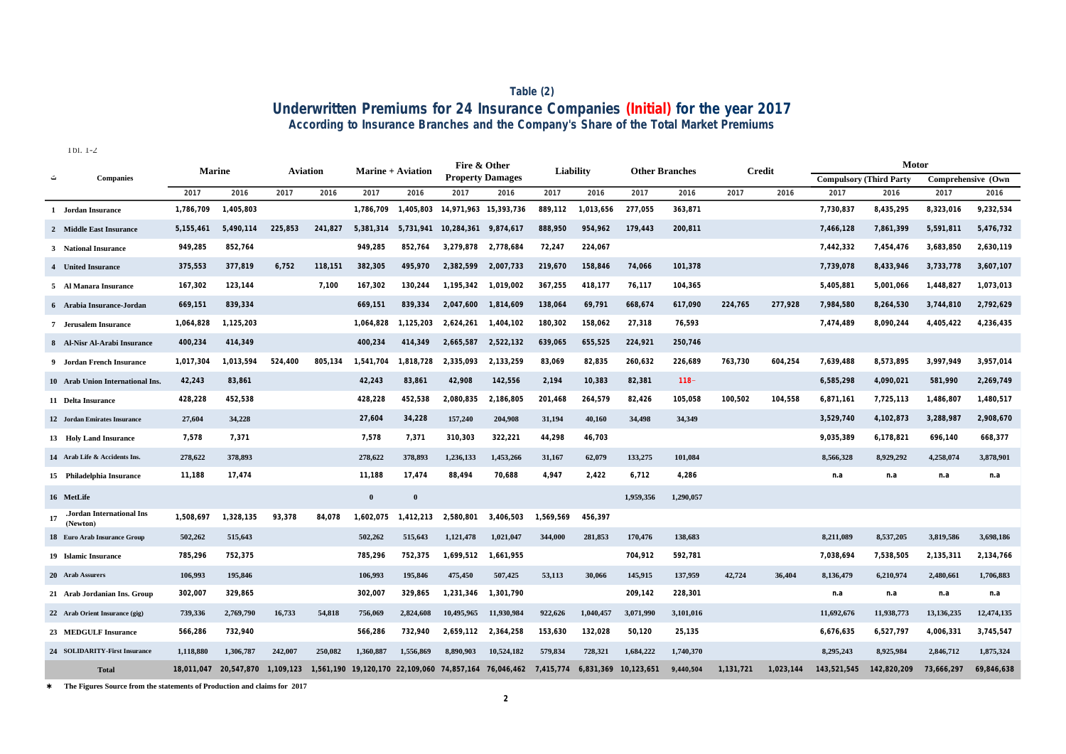### **According to Insurance Branches and the Company's Share of the Total Market Premiums Table (2) Underwritten Premiums for 24 Insurance Companies (Initial) for the year 2017**

Tbl. 1-2

|                                       | <b>Marine</b> |                      | <b>Aviation</b> |           |           | <b>Marine + Aviation</b> | Fire & Other                     |                         |           | Liability | <b>Other Branches</b> |           |           | <b>Credit</b> |                                | Motor       |                    |            |
|---------------------------------------|---------------|----------------------|-----------------|-----------|-----------|--------------------------|----------------------------------|-------------------------|-----------|-----------|-----------------------|-----------|-----------|---------------|--------------------------------|-------------|--------------------|------------|
| <b>Companies</b>                      |               |                      |                 |           |           |                          |                                  | <b>Property Damages</b> |           |           |                       |           |           |               | <b>Compulsory (Third Party</b> |             | Comprehensive (Own |            |
|                                       | 2017          | 2016                 | 2017            | 2016      | 2017      | 2016                     | 2017                             | 2016                    | 2017      | 2016      | 2017                  | 2016      | 2017      | 2016          | 2017                           | 2016        | 2017               | 2016       |
| 1 Jordan Insurance                    | 1,786,709     | 1,405,803            |                 |           | 1.786.709 | 1.405.803                | 14,971,963 15,393,736            |                         | 889.112   | 1,013,656 | 277,055               | 363,871   |           |               | 7,730,837                      | 8,435,295   | 8,323,016          | 9,232,534  |
| 2 Middle East Insurance               | 5, 155, 461   | 5,490,114            | 225,853         | 241,827   | 5,381,314 | 5,731,941                | 10,284,361                       | 9,874,617               | 888,950   | 954,962   | 179,443               | 200,811   |           |               | 7,466,128                      | 7,861,399   | 5,591,811          | 5,476,732  |
| 3 National Insurance                  | 949,285       | 852,764              |                 |           | 949,285   | 852,764                  | 3,279,878                        | 2,778,684               | 72,247    | 224,067   |                       |           |           |               | 7,442,332                      | 7,454,476   | 3,683,850          | 2,630,119  |
| 4 United Insurance                    | 375,553       | 377,819              | 6,752           | 118,151   | 382,305   | 495,970                  | 2,382,599                        | 2,007,733               | 219,670   | 158,846   | 74,066                | 101,378   |           |               | 7,739,078                      | 8,433,946   | 3,733,778          | 3,607,107  |
| 5 Al Manara Insurance                 | 167,302       | 123,144              |                 | 7,100     | 167,302   | 130,244                  | 1,195,342                        | 1,019,002               | 367,255   | 418,177   | 76,117                | 104,365   |           |               | 5,405,881                      | 5,001,066   | 1,448,827          | 1,073,013  |
| 6 Arabia Insurance-Jordan             | 669,151       | 839,334              |                 |           | 669,151   | 839,334                  | 2,047,600                        | 1,814,609               | 138,064   | 69,791    | 668,674               | 617,090   | 224,765   | 277,928       | 7,984,580                      | 8,264,530   | 3,744,810          | 2,792,629  |
| 7 Jerusalem Insurance                 | 1,064,828     | 1,125,203            |                 |           | 1,064,828 | 1,125,203                | 2,624,261                        | 1,404,102               | 180,302   | 158,062   | 27,318                | 76,593    |           |               | 7,474,489                      | 8,090,244   | 4,405,422          | 4,236,435  |
| 8 Al-Nisr Al-Arabi Insurance          | 400,234       | 414,349              |                 |           | 400,234   | 414,349                  | 2,665,587                        | 2,522,132               | 639,065   | 655,525   | 224,921               | 250,746   |           |               |                                |             |                    |            |
| 9 Jordan French Insurance             | 1,017,304     | 1.013.594            | 524,400         | 805.134   | 1.541.704 | 1.818.728                | 2.335.093                        | 2.133.259               | 83,069    | 82,835    | 260,632               | 226,689   | 763,730   | 604,254       | 7,639,488                      | 8,573,895   | 3,997,949          | 3,957,014  |
| 10 Arab Union International Ins.      | 42,243        | 83,861               |                 |           | 42,243    | 83,861                   | 42,908                           | 142,556                 | 2,194     | 10,383    | 82,381                | $118 -$   |           |               | 6,585,298                      | 4,090,021   | 581,990            | 2,269,749  |
| 11 Delta Insurance                    | 428,228       | 452,538              |                 |           | 428,228   | 452,538                  | 2,080,835                        | 2,186,805               | 201,468   | 264,579   | 82,426                | 105,058   | 100,502   | 104,558       | 6,871,161                      | 7,725,113   | 1,486,807          | 1,480,517  |
| 12 Jordan Emirates Insurance          | 27,604        | 34,228               |                 |           | 27,604    | 34,228                   | 157,240                          | 204,908                 | 31,194    | 40,160    | 34,498                | 34,349    |           |               | 3,529,740                      | 4,102,873   | 3,288,987          | 2,908,670  |
| 13 Holy Land Insurance                | 7.578         | 7,371                |                 |           | 7.578     | 7,371                    | 310,303                          | 322,221                 | 44,298    | 46,703    |                       |           |           |               | 9,035,389                      | 6,178,821   | 696,140            | 668,377    |
| 14 Arab Life & Accidents Ins.         | 278,622       | 378,893              |                 |           | 278,622   | 378,893                  | 1,236,133                        | 1,453,266               | 31,167    | 62,079    | 133,275               | 101,084   |           |               | 8.566.328                      | 8,929,292   | 4,258,074          | 3,878,901  |
| 15 Philadelphia Insurance             | 11,188        | 17,474               |                 |           | 11,188    | 17,474                   | 88,494                           | 70,688                  | 4,947     | 2,422     | 6,712                 | 4,286     |           |               | n.a                            | n.a         | n.a                | n.a        |
| 16 MetLife                            |               |                      |                 |           | $\theta$  | $\bf{0}$                 |                                  |                         |           |           | 1,959,356             | 1,290,057 |           |               |                                |             |                    |            |
| .Jordan International Ins<br>(Newton) | 1,508,697     | 1,328,135            | 93,378          | 84,078    | 1,602,075 | 1,412,213                | 2,580,801                        | 3,406,503               | 1,569,569 | 456,397   |                       |           |           |               |                                |             |                    |            |
| 18 Euro Arab Insurance Group          | 502,262       | 515,643              |                 |           | 502,262   | 515,643                  | 1,121,478                        | 1,021,047               | 344,000   | 281,853   | 170,476               | 138,683   |           |               | 8,211,089                      | 8,537,205   | 3,819,586          | 3,698,186  |
| 19 Islamic Insurance                  | 785,296       | 752,375              |                 |           | 785,296   | 752,375                  | 1,699,512                        | 1,661,955               |           |           | 704,912               | 592,781   |           |               | 7,038,694                      | 7,538,505   | 2,135,311          | 2,134,766  |
| 20 Arab Assurers                      | 106,993       | 195,846              |                 |           | 106,993   | 195,846                  | 475,450                          | 507,425                 | 53,113    | 30,066    | 145,915               | 137,959   | 42,724    | 36,404        | 8,136,479                      | 6,210,974   | 2,480,661          | 1,706,883  |
| 21 Arab Jordanian Ins. Group          | 302,007       | 329,865              |                 |           | 302,007   | 329,865                  | 1,231,346                        | 1,301,790               |           |           | 209,142               | 228,301   |           |               | n.a                            | n.a         | n.a                | n.a        |
| 22 Arab Orient Insurance (gig)        | 739,336       | 2,769,790            | 16,733          | 54,818    | 756,069   | 2,824,608                | 10,495,965                       | 11,930,984              | 922.626   | 1,040,457 | 3,071,990             | 3,101,016 |           |               | 11,692,676                     | 11,938,773  | 13,136,235         | 12,474,135 |
| 23 MEDGULF Insurance                  | 566,286       | 732,940              |                 |           | 566,286   | 732,940                  | 2,659,112                        | 2,364,258               | 153,630   | 132,028   | 50,120                | 25,135    |           |               | 6,676,635                      | 6,527,797   | 4,006,331          | 3,745,547  |
| 24 SOLIDARITY-First Insurance         | 1.118.880     | 1.306.787            | 242,007         | 250,082   | 1.360,887 | 1.556.869                | 8.890.903                        | 10.524.182              | 579.834   | 728,321   | 1.684.222             | 1,740,370 |           |               | 8,295,243                      | 8,925,984   | 2,846,712          | 1,875,324  |
| <b>Total</b>                          | 18,011,047    | 20,547,870 1,109,123 |                 | 1,561,190 |           |                          | 19,120,170 22,109,060 74,857,164 | 76,046,462              | 7,415,774 | 6,831,369 | 10,123,651            | 9,440,504 | 1,131,721 | 1,023,144     | 143,521,545                    | 142,820,209 | 73,666,297         | 69,846,638 |

\* **The Figures Source from the statements of Production and claims for 2017**

**2**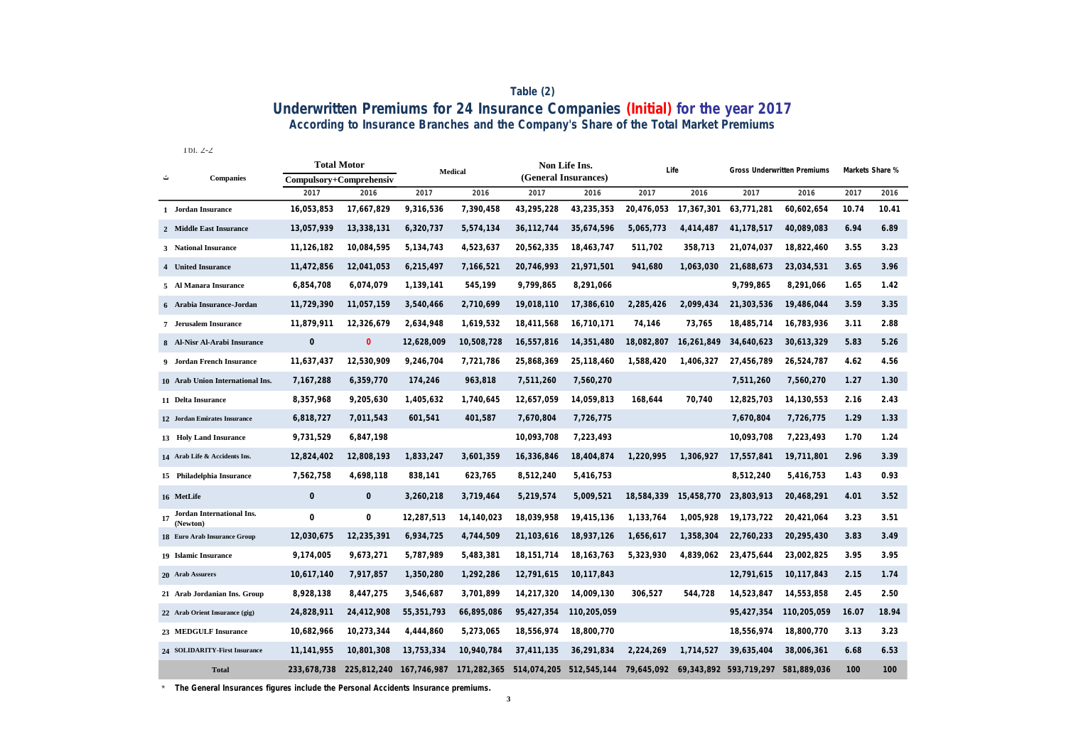### **According to Insurance Branches and the Company's Share of the Total Market Premiums Table (2) Underwritten Premiums for 24 Insurance Companies (Initial) for the year 2017**

Tbl. 2-2

|   |                                          | <b>Total Motor</b><br>Compulsory+Comprehensiv |                |              | Medical     |                      | Non Life Ins.           | Life       |              | Gross Underwritten Premiums |             |       | Markets Share % |  |
|---|------------------------------------------|-----------------------------------------------|----------------|--------------|-------------|----------------------|-------------------------|------------|--------------|-----------------------------|-------------|-------|-----------------|--|
| ت | <b>Companies</b>                         |                                               |                |              |             | (General Insurances) |                         |            |              |                             |             |       |                 |  |
|   |                                          | 2017                                          | 2016           | 2017         | 2016        | 2017                 | 2016                    | 2017       | 2016         | 2017                        | 2016        | 2017  | 2016            |  |
|   | 1 Jordan Insurance                       | 16,053,853                                    | 17,667,829     | 9,316,536    | 7,390,458   | 43,295,228           | 43,235,353              | 20,476,053 | 17,367,301   | 63,771,281                  | 60,602,654  | 10.74 | 10.41           |  |
|   | 2 Middle East Insurance                  | 13,057,939                                    | 13,338,131     | 6,320,737    | 5,574,134   | 36, 112, 744         | 35,674,596              | 5,065,773  | 4,414,487    | 41, 178, 517                | 40,089,083  | 6.94  | 6.89            |  |
|   | 3 National Insurance                     | 11,126,182                                    | 10,084,595     | 5,134,743    | 4,523,637   | 20,562,335           | 18,463,747              | 511,702    | 358,713      | 21,074,037                  | 18,822,460  | 3.55  | 3.23            |  |
|   | 4 United Insurance                       | 11,472,856                                    | 12,041,053     | 6,215,497    | 7,166,521   | 20,746,993           | 21,971,501              | 941,680    | 1,063,030    | 21,688,673                  | 23,034,531  | 3.65  | 3.96            |  |
|   | 5 Al Manara Insurance                    | 6,854,708                                     | 6,074,079      | 1,139,141    | 545,199     | 9,799,865            | 8,291,066               |            |              | 9,799,865                   | 8,291,066   | 1.65  | 1.42            |  |
|   | 6 Arabia Insurance-Jordan                | 11,729,390                                    | 11,057,159     | 3,540,466    | 2,710,699   | 19,018,110           | 17,386,610              | 2,285,426  | 2,099,434    | 21,303,536                  | 19,486,044  | 3.59  | 3.35            |  |
|   | 7 Jerusalem Insurance                    | 11,879,911                                    | 12,326,679     | 2,634,948    | 1,619,532   | 18,411,568           | 16,710,171              | 74,146     | 73,765       | 18,485,714                  | 16,783,936  | 3.11  | 2.88            |  |
|   | 8 Al-Nisr Al-Arabi Insurance             | $\circ$                                       | $\overline{0}$ | 12,628,009   | 10,508,728  | 16,557,816           | 14,351,480              | 18,082,807 | 16,261,849   | 34,640,623                  | 30,613,329  | 5.83  | 5.26            |  |
|   | 9 Jordan French Insurance                | 11,637,437                                    | 12,530,909     | 9,246,704    | 7,721,786   | 25,868,369           | 25,118,460              | 1,588,420  | 1,406,327    | 27,456,789                  | 26,524,787  | 4.62  | 4.56            |  |
|   | 10 Arab Union International Ins.         | 7,167,288                                     | 6,359,770      | 174,246      | 963,818     | 7,511,260            | 7,560,270               |            |              | 7,511,260                   | 7,560,270   | 1.27  | 1.30            |  |
|   | 11 Delta Insurance                       | 8,357,968                                     | 9,205,630      | 1,405,632    | 1,740,645   | 12,657,059           | 14,059,813              | 168,644    | 70,740       | 12,825,703                  | 14,130,553  | 2.16  | 2.43            |  |
|   | 12 Jordan Emirates Insurance             | 6,818,727                                     | 7,011,543      | 601,541      | 401,587     | 7,670,804            | 7,726,775               |            |              | 7,670,804                   | 7,726,775   | 1.29  | 1.33            |  |
|   | 13 Holy Land Insurance                   | 9,731,529                                     | 6,847,198      |              |             | 10,093,708           | 7,223,493               |            |              | 10,093,708                  | 7,223,493   | 1.70  | 1.24            |  |
|   | 14 Arab Life & Accidents Ins.            | 12,824,402                                    | 12,808,193     | 1,833,247    | 3,601,359   | 16,336,846           | 18,404,874              | 1,220,995  | 1,306,927    | 17,557,841                  | 19,711,801  | 2.96  | 3.39            |  |
|   | 15 Philadelphia Insurance                | 7,562,758                                     | 4,698,118      | 838,141      | 623,765     | 8,512,240            | 5,416,753               |            |              | 8,512,240                   | 5,416,753   | 1.43  | 0.93            |  |
|   | 16 MetLife                               | $\mathbf{0}$                                  | $\circ$        | 3,260,218    | 3,719,464   | 5,219,574            | 5,009,521               | 18,584,339 | 15,458,770   | 23,803,913                  | 20,468,291  | 4.01  | 3.52            |  |
|   | 17 Jordan International Ins.<br>(Newton) | $\circ$                                       | $\circ$        | 12,287,513   | 14,140,023  | 18,039,958           | 19,415,136              | 1,133,764  | 1,005,928    | 19, 173, 722                | 20,421,064  | 3.23  | 3.51            |  |
|   | 18 Euro Arab Insurance Group             | 12,030,675                                    | 12,235,391     | 6,934,725    | 4,744,509   | 21,103,616           | 18,937,126              | 1,656,617  | 1,358,304    | 22,760,233                  | 20,295,430  | 3.83  | 3.49            |  |
|   | 19 Islamic Insurance                     | 9,174,005                                     | 9,673,271      | 5,787,989    | 5,483,381   | 18, 151, 714         | 18, 163, 763            | 5,323,930  | 4,839,062    | 23,475,644                  | 23,002,825  | 3.95  | 3.95            |  |
|   | 20 Arab Assurers                         | 10,617,140                                    | 7,917,857      | 1,350,280    | 1,292,286   | 12,791,615           | 10,117,843              |            |              | 12,791,615                  | 10,117,843  | 2.15  | 1.74            |  |
|   | 21 Arab Jordanian Ins. Group             | 8,928,138                                     | 8,447,275      | 3,546,687    | 3,701,899   | 14,217,320           | 14,009,130              | 306,527    | 544,728      | 14,523,847                  | 14,553,858  | 2.45  | 2.50            |  |
|   | 22 Arab Orient Insurance (gig)           | 24,828,911                                    | 24,412,908     | 55, 351, 793 | 66,895,086  | 95,427,354           | 110,205,059             |            |              | 95,427,354                  | 110,205,059 | 16.07 | 18.94           |  |
|   | 23 MEDGULF Insurance                     | 10,682,966                                    | 10,273,344     | 4,444,860    | 5,273,065   | 18,556,974           | 18,800,770              |            |              | 18,556,974                  | 18,800,770  | 3.13  | 3.23            |  |
|   | 24 SOLIDARITY-First Insurance            | 11, 141, 955                                  | 10,801,308     | 13,753,334   | 10.940.784  | 37.411.135           | 36,291,834              | 2.224.269  | 1.714.527    | 39.635.404                  | 38.006.361  | 6.68  | 6.53            |  |
|   | <b>Total</b>                             | 233,678,738                                   | 225,812,240    | 167,746,987  | 171,282,365 |                      | 514,074,205 512,545,144 | 79,645,092 | 69, 343, 892 | 593,719,297                 | 581,889,036 | 100   | 100             |  |

\* **The General Insurances figures include the Personal Accidents Insurance premiums.**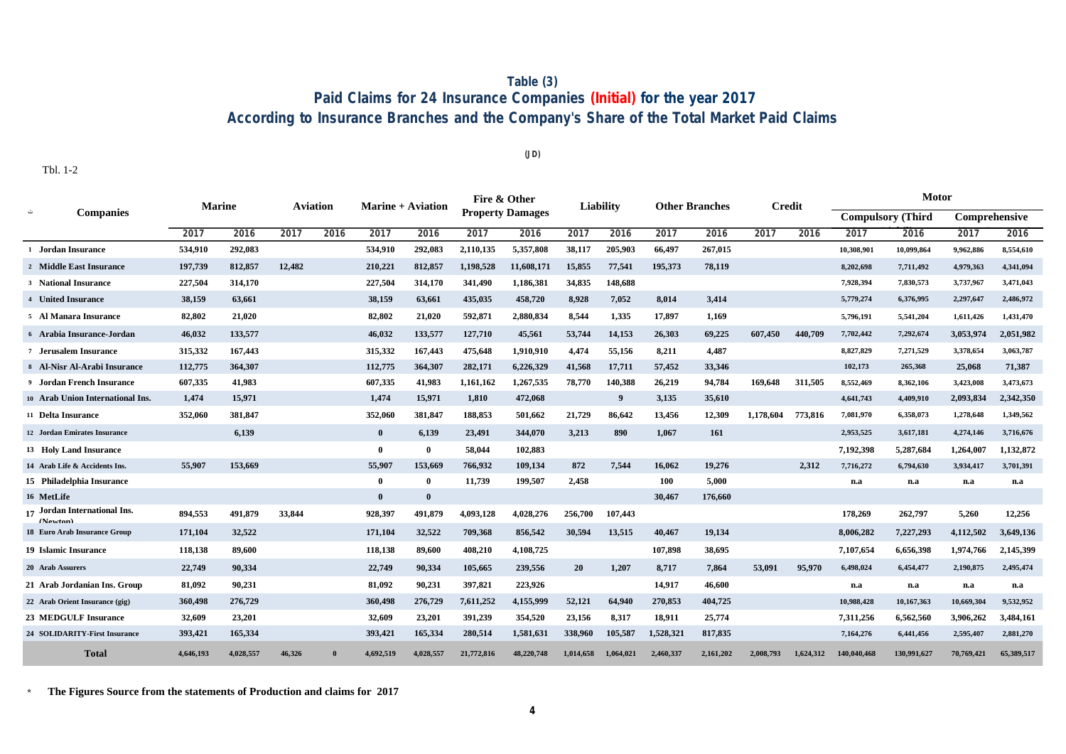## **Table (3) Paid Claims for 24 Insurance Companies (Initial) for the year 2017 According to Insurance Branches and the Company's Share of the Total Market Paid Claims**

**(JD)**

Tbl. 1-2

| <b>Marine</b>                                       |           |           | <b>Aviation</b> |      | <b>Marine + Aviation</b> |              | Fire & Other |                         | Liability |                | <b>Other Branches</b> |           | <b>Credit</b> |           | <b>Motor</b> |                          |               |            |
|-----------------------------------------------------|-----------|-----------|-----------------|------|--------------------------|--------------|--------------|-------------------------|-----------|----------------|-----------------------|-----------|---------------|-----------|--------------|--------------------------|---------------|------------|
| <b>Companies</b><br>ت                               |           |           |                 |      |                          |              |              | <b>Property Damages</b> |           |                |                       |           |               |           |              | <b>Compulsory (Third</b> | Comprehensive |            |
|                                                     | 2017      | 2016      | 2017            | 2016 | 2017                     | 2016         | 2017         | 2016                    | 2017      | 2016           | 2017                  | 2016      | 2017          | 2016      | 2017         | 2016                     | 2017          | 2016       |
| 1 Jordan Insurance                                  | 534,910   | 292,083   |                 |      | 534,910                  | 292,083      | 2,110,135    | 5,357,808               | 38,117    | 205,903        | 66,497                | 267,015   |               |           | 10,308,901   | 10,099,864               | 9,962,886     | 8,554,610  |
| 2 Middle East Insurance                             | 197,739   | 812,857   | 12,482          |      | 210,221                  | 812,857      | 1,198,528    | 11,608,171              | 15,855    | 77,541         | 195,373               | 78,119    |               |           | 8,202,698    | 7,711,492                | 4,979,363     | 4,341,094  |
| <b>3</b> National Insurance                         | 227,504   | 314,170   |                 |      | 227,504                  | 314,170      | 341,490      | 1,186,381               | 34,835    | 148,688        |                       |           |               |           | 7,928,394    | 7,830,573                | 3,737,967     | 3,471,043  |
| 4 United Insurance                                  | 38,159    | 63,661    |                 |      | 38,159                   | 63,661       | 435,035      | 458,720                 | 8,928     | 7,052          | 8,014                 | 3,414     |               |           | 5,779,274    | 6,376,995                | 2,297,647     | 2,486,972  |
| 5 Al Manara Insurance                               | 82,802    | 21,020    |                 |      | 82,802                   | 21,020       | 592,871      | 2,880,834               | 8,544     | 1,335          | 17,897                | 1,169     |               |           | 5,796,191    | 5,541,204                | 1,611,426     | 1,431,470  |
| 6 Arabia Insurance-Jordan                           | 46,032    | 133,577   |                 |      | 46,032                   | 133,577      | 127,710      | 45,561                  | 53,744    | 14,153         | 26.303                | 69,225    | 607.450       | 440,709   | 7,702,442    | 7,292,674                | 3,053,974     | 2,051,982  |
| 7 Jerusalem Insurance                               | 315,332   | 167,443   |                 |      | 315,332                  | 167,443      | 475,648      | 1,910,910               | 4,474     | 55,156         | 8,211                 | 4,487     |               |           | 8,827,829    | 7,271,529                | 3,378,654     | 3,063,787  |
| 8 Al-Nisr Al-Arabi Insurance                        | 112,775   | 364,307   |                 |      | 112,775                  | 364,307      | 282,171      | 6,226,329               | 41,568    | 17,711         | 57,452                | 33,346    |               |           | 102,173      | 265,368                  | 25,068        | 71,387     |
| <b>9</b> Jordan French Insurance                    | 607,335   | 41,983    |                 |      | 607,335                  | 41,983       | 1,161,162    | 1,267,535               | 78,770    | 140,388        | 26,219                | 94,784    | 169.648       | 311,505   | 8,552,469    | 8,362,106                | 3,423,008     | 3,473,673  |
| 10 Arab Union International Ins.                    | 1,474     | 15,971    |                 |      | 1.474                    | 15,971       | 1,810        | 472,068                 |           | 9 <sup>°</sup> | 3,135                 | 35,610    |               |           | 4,641,743    | 4,409,910                | 2,093,834     | 2,342,350  |
| 11 Delta Insurance                                  | 352,060   | 381,847   |                 |      | 352,060                  | 381,847      | 188,853      | 501,662                 | 21,729    | 86,642         | 13,456                | 12,309    | 1,178,604     | 773,816   | 7,081,970    | 6,358,073                | 1,278,648     | 1,349,562  |
| 12 Jordan Emirates Insurance                        |           | 6,139     |                 |      | $\bf{0}$                 | 6,139        | 23,491       | 344,070                 | 3,213     | 890            | 1.067                 | 161       |               |           | 2,953,525    | 3,617,181                | 4,274,146     | 3,716,676  |
| 13 Holy Land Insurance                              |           |           |                 |      | $\mathbf{0}$             | $\theta$     | 58,044       | 102,883                 |           |                |                       |           |               |           | 7,192,398    | 5,287,684                | 1,264,007     | 1,132,872  |
| 14 Arab Life & Accidents Ins.                       | 55,907    | 153,669   |                 |      | 55,907                   | 153,669      | 766.932      | 109.134                 | 872       | 7.544          | 16.062                | 19.276    |               | 2.312     | 7,716,272    | 6,794,630                | 3,934,417     | 3,701,391  |
| 15 Philadelphia Insurance                           |           |           |                 |      | $\mathbf{0}$             | $\mathbf{0}$ | 11,739       | 199,507                 | 2,458     |                | 100                   | 5.000     |               |           | n.a          | n.a                      | n.a           | n.a        |
| 16 MetLife                                          |           |           |                 |      | $\mathbf{0}$             | $\bf{0}$     |              |                         |           |                | 30,467                | 176,660   |               |           |              |                          |               |            |
| <sub>17</sub> Jordan International Ins.<br>(Nouton) | 894,553   | 491,879   | 33,844          |      | 928,397                  | 491,879      | 4,093,128    | 4,028,276               | 256,700   | 107,443        |                       |           |               |           | 178,269      | 262,797                  | 5,260         | 12,256     |
| <b>18 Euro Arab Insurance Group</b>                 | 171,104   | 32,522    |                 |      | 171,104                  | 32,522       | 709,368      | 856,542                 | 30,594    | 13,515         | 40,467                | 19,134    |               |           | 8,006,282    | 7,227,293                | 4,112,502     | 3,649,136  |
| 19 Islamic Insurance                                | 118,138   | 89,600    |                 |      | 118,138                  | 89,600       | 408,210      | 4,108,725               |           |                | 107,898               | 38,695    |               |           | 7,107,654    | 6,656,398                | 1,974,766     | 2,145,399  |
| 20 Arab Assurers                                    | 22,749    | 90,334    |                 |      | 22,749                   | 90,334       | 105,665      | 239,556                 | 20        | 1,207          | 8,717                 | 7,864     | 53,091        | 95,970    | 6,498,024    | 6,454,477                | 2,190,875     | 2,495,474  |
| 21 Arab Jordanian Ins. Group                        | 81,092    | 90,231    |                 |      | 81,092                   | 90,231       | 397,821      | 223,926                 |           |                | 14,917                | 46,600    |               |           | n.a          | n.a                      | n.a           | n.a        |
| 22 Arab Orient Insurance (gig)                      | 360,498   | 276,729   |                 |      | 360,498                  | 276,729      | 7,611,252    | 4,155,999               | 52,121    | 64,940         | 270,853               | 404,725   |               |           | 10,988,428   | 10,167,363               | 10,669,304    | 9,532,952  |
| <b>23 MEDGULF Insurance</b>                         | 32.609    | 23,201    |                 |      | 32,609                   | 23,201       | 391,239      | 354,520                 | 23,156    | 8,317          | 18,911                | 25,774    |               |           | 7,311,256    | 6,562,560                | 3,906,262     | 3.484.161  |
| <b>24 SOLIDARITY-First Insurance</b>                | 393,421   | 165,334   |                 |      | 393,421                  | 165,334      | 280,514      | 1,581,631               | 338,960   | 105,587        | 1,528,321             | 817,835   |               |           | 7,164,276    | 6,441,456                | 2,595,407     | 2,881,270  |
| <b>Total</b>                                        | 4,646,193 | 4.028.557 | 46.326          |      | 4.692.519                | 4,028,557    | 21,772,816   | 48.220.748              | 1.014.658 | 1.064.021      | 2.460.337             | 2,161,202 | 2.008.793     | 1.624.312 | 140.040.468  | 130.991.627              | 70,769,421    | 65,389,517 |

**\* The Figures Source from the statements of Production and claims for 2017**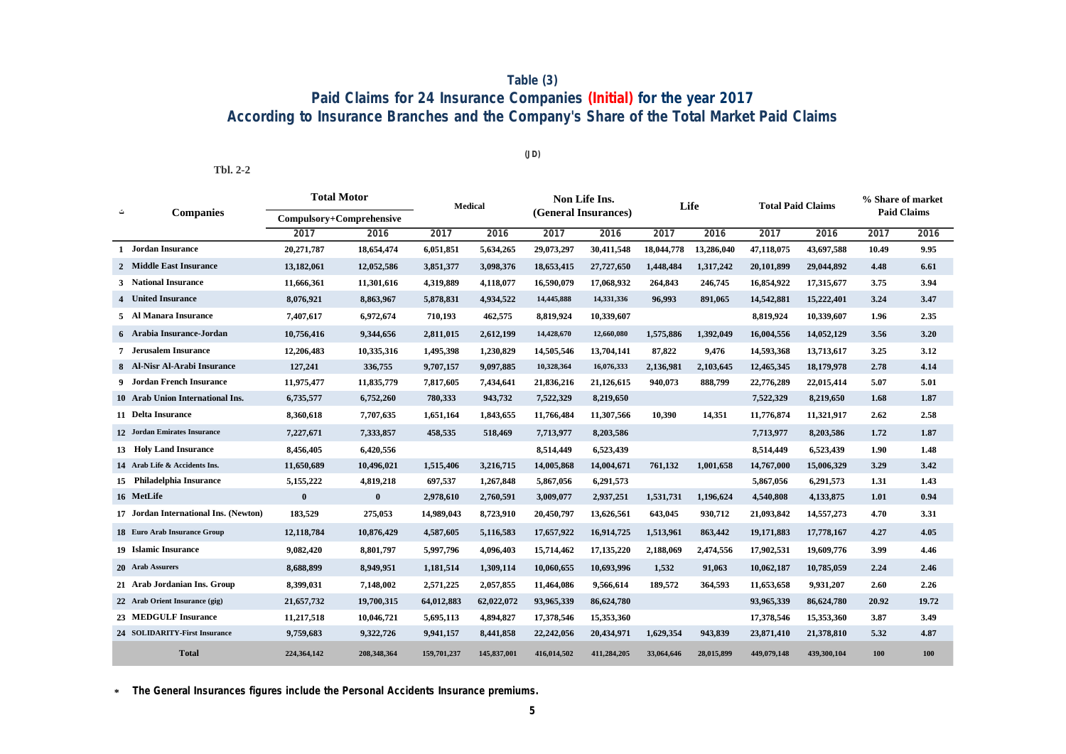## **Paid Claims for 24 Insurance Companies (Initial) for the year 2017 According to Insurance Branches and the Company's Share of the Total Market Paid Claims Table (3)**

**(JD)**

**Tbl. 2-2**

|   |                                       | <b>Total Motor</b>       |             | <b>Medical</b> |             |                      | Non Life Ins. | Life       |            | <b>Total Paid Claims</b> |             | % Share of market  |       |
|---|---------------------------------------|--------------------------|-------------|----------------|-------------|----------------------|---------------|------------|------------|--------------------------|-------------|--------------------|-------|
| ت | <b>Companies</b>                      | Compulsory+Comprehensive |             |                |             | (General Insurances) |               |            |            |                          |             | <b>Paid Claims</b> |       |
|   |                                       | 2017                     | 2016        | 2017           | 2016        | 2017                 | 2016          | 2017       | 2016       | 2017                     | 2016        | 2017               | 2016  |
|   | 1 Jordan Insurance                    | 20,271,787               | 18,654,474  | 6,051,851      | 5,634,265   | 29,073,297           | 30,411,548    | 18,044,778 | 13,286,040 | 47,118,075               | 43,697,588  | 10.49              | 9.95  |
|   | 2 Middle East Insurance               | 13,182,061               | 12,052,586  | 3,851,377      | 3,098,376   | 18,653,415           | 27,727,650    | 1,448,484  | 1,317,242  | 20,101,899               | 29,044,892  | 4.48               | 6.61  |
|   | 3 National Insurance                  | 11,666,361               | 11,301,616  | 4,319,889      | 4,118,077   | 16,590,079           | 17,068,932    | 264,843    | 246,745    | 16,854,922               | 17,315,677  | 3.75               | 3.94  |
|   | 4 United Insurance                    | 8,076,921                | 8,863,967   | 5,878,831      | 4,934,522   | 14,445,888           | 14,331,336    | 96,993     | 891,065    | 14,542,881               | 15,222,401  | 3.24               | 3.47  |
|   | 5 Al Manara Insurance                 | 7,407,617                | 6,972,674   | 710,193        | 462,575     | 8,819,924            | 10,339,607    |            |            | 8,819,924                | 10,339,607  | 1.96               | 2.35  |
|   | 6 Arabia Insurance-Jordan             | 10,756,416               | 9,344,656   | 2,811,015      | 2,612,199   | 14,428,670           | 12,660,080    | 1,575,886  | 1,392,049  | 16,004,556               | 14,052,129  | 3.56               | 3.20  |
|   | <b>7</b> Jerusalem Insurance          | 12,206,483               | 10,335,316  | 1,495,398      | 1,230,829   | 14,505,546           | 13,704,141    | 87,822     | 9,476      | 14,593,368               | 13,713,617  | 3.25               | 3.12  |
|   | 8 Al-Nisr Al-Arabi Insurance          | 127,241                  | 336,755     | 9,707,157      | 9,097,885   | 10,328,364           | 16,076,333    | 2,136,981  | 2,103,645  | 12,465,345               | 18,179,978  | 2.78               | 4.14  |
|   | 9 Jordan French Insurance             | 11,975,477               | 11,835,779  | 7,817,605      | 7,434,641   | 21,836,216           | 21,126,615    | 940,073    | 888,799    | 22,776,289               | 22,015,414  | 5.07               | 5.01  |
|   | 10 Arab Union International Ins.      | 6,735,577                | 6,752,260   | 780,333        | 943,732     | 7,522,329            | 8,219,650     |            |            | 7,522,329                | 8,219,650   | 1.68               | 1.87  |
|   | 11 Delta Insurance                    | 8,360,618                | 7,707,635   | 1,651,164      | 1,843,655   | 11,766,484           | 11,307,566    | 10.390     | 14,351     | 11,776,874               | 11,321,917  | 2.62               | 2.58  |
|   | 12 Jordan Emirates Insurance          | 7,227,671                | 7,333,857   | 458,535        | 518,469     | 7,713,977            | 8,203,586     |            |            | 7,713,977                | 8,203,586   | 1.72               | 1.87  |
|   | 13 Holy Land Insurance                | 8,456,405                | 6,420,556   |                |             | 8,514,449            | 6,523,439     |            |            | 8,514,449                | 6,523,439   | 1.90               | 1.48  |
|   | 14 Arab Life & Accidents Ins.         | 11,650,689               | 10,496,021  | 1,515,406      | 3,216,715   | 14,005,868           | 14,004,671    | 761,132    | 1,001,658  | 14,767,000               | 15,006,329  | 3.29               | 3.42  |
|   | 15 Philadelphia Insurance             | 5,155,222                | 4,819,218   | 697,537        | 1,267,848   | 5,867,056            | 6,291,573     |            |            | 5,867,056                | 6,291,573   | 1.31               | 1.43  |
|   | 16 MetLife                            | $\bf{0}$                 | $\bf{0}$    | 2,978,610      | 2,760,591   | 3,009,077            | 2,937,251     | 1,531,731  | 1,196,624  | 4,540,808                | 4,133,875   | 1.01               | 0.94  |
|   | 17 Jordan International Ins. (Newton) | 183,529                  | 275,053     | 14,989,043     | 8,723,910   | 20,450,797           | 13,626,561    | 643,045    | 930,712    | 21,093,842               | 14,557,273  | 4.70               | 3.31  |
|   | 18 Euro Arab Insurance Group          | 12,118,784               | 10,876,429  | 4,587,605      | 5,116,583   | 17,657,922           | 16,914,725    | 1,513,961  | 863,442    | 19,171,883               | 17,778,167  | 4.27               | 4.05  |
|   | <b>19 Islamic Insurance</b>           | 9,082,420                | 8,801,797   | 5,997,796      | 4,096,403   | 15,714,462           | 17, 135, 220  | 2,188,069  | 2,474,556  | 17,902,531               | 19,609,776  | 3.99               | 4.46  |
|   | 20 Arab Assurers                      | 8,688,899                | 8,949,951   | 1,181,514      | 1,309,114   | 10,060,655           | 10,693,996    | 1,532      | 91,063     | 10,062,187               | 10,785,059  | 2.24               | 2.46  |
|   | 21 Arab Jordanian Ins. Group          | 8,399,031                | 7,148,002   | 2,571,225      | 2,057,855   | 11,464,086           | 9,566,614     | 189,572    | 364,593    | 11,653,658               | 9,931,207   | 2.60               | 2.26  |
|   | 22 Arab Orient Insurance (gig)        | 21,657,732               | 19,700,315  | 64,012,883     | 62,022,072  | 93,965,339           | 86,624,780    |            |            | 93,965,339               | 86,624,780  | 20.92              | 19.72 |
|   | 23 MEDGULF Insurance                  | 11,217,518               | 10,046,721  | 5,695,113      | 4,894,827   | 17,378,546           | 15,353,360    |            |            | 17,378,546               | 15,353,360  | 3.87               | 3.49  |
|   | 24 SOLIDARITY-First Insurance         | 9,759,683                | 9,322,726   | 9,941,157      | 8,441,858   | 22,242,056           | 20,434,971    | 1,629,354  | 943,839    | 23,871,410               | 21,378,810  | 5.32               | 4.87  |
|   | <b>Total</b>                          | 224,364,142              | 208,348,364 | 159,701,237    | 145,837,001 | 416,014,502          | 411,284,205   | 33,064,646 | 28,015,899 | 449,079,148              | 439,300,104 | 100                | 100   |

**\* The General Insurances figures include the Personal Accidents Insurance premiums.**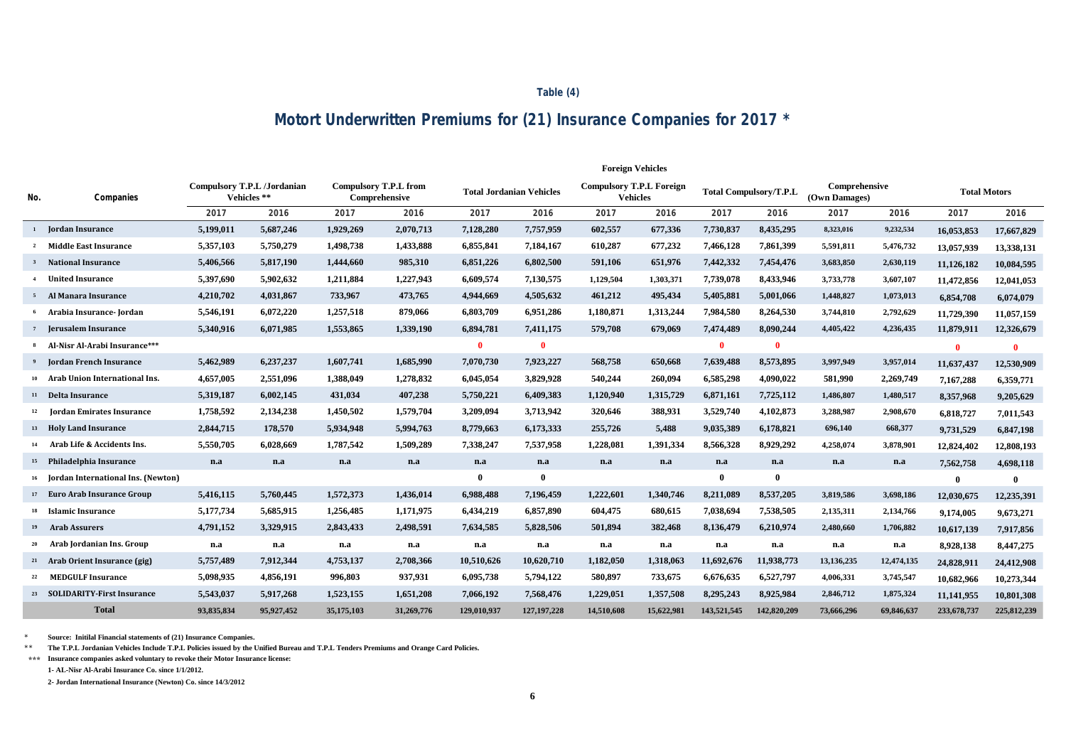#### **Table (4)**

# **Motort Underwritten Premiums for (21) Insurance Companies for 2017 \***

|     |                                         |            |                                            |            |                                               |             |                                 | <b>Foreign Vehicles</b>                            |            |             |                               |                                |            |                     |              |
|-----|-----------------------------------------|------------|--------------------------------------------|------------|-----------------------------------------------|-------------|---------------------------------|----------------------------------------------------|------------|-------------|-------------------------------|--------------------------------|------------|---------------------|--------------|
| No. | Companies                               |            | Compulsory T.P.L /Jordanian<br>Vehicles ** |            | <b>Compulsory T.P.L from</b><br>Comprehensive |             | <b>Total Jordanian Vehicles</b> | <b>Compulsory T.P.L Foreign</b><br><b>Vehicles</b> |            |             | <b>Total Compulsory/T.P.L</b> | Comprehensive<br>(Own Damages) |            | <b>Total Motors</b> |              |
|     |                                         | 2017       | 2016                                       | 2017       | 2016                                          | 2017        | 2016                            | 2017                                               | 2016       | 2017        | 2016                          | 2017                           | 2016       | 2017                | 2016         |
|     | <sup>1</sup> Jordan Insurance           | 5,199,011  | 5,687,246                                  | 1,929,269  | 2,070,713                                     | 7,128,280   | 7,757,959                       | 602,557                                            | 677,336    | 7,730,837   | 8,435,295                     | 8,323,016                      | 9,232,534  | 16,053,853          | 17,667,829   |
|     | <b>Middle East Insurance</b>            | 5,357,103  | 5,750,279                                  | 1,498,738  | 1,433,888                                     | 6,855,841   | 7,184,167                       | 610,287                                            | 677,232    | 7,466,128   | 7,861,399                     | 5,591,811                      | 5,476,732  | 13,057,939          | 13,338,131   |
|     | <b>National Insurance</b>               | 5,406,566  | 5,817,190                                  | 1,444,660  | 985,310                                       | 6,851,226   | 6,802,500                       | 591,106                                            | 651,976    | 7,442,332   | 7,454,476                     | 3,683,850                      | 2,630,119  | 11.126.182          | 10,084,595   |
|     | <b>United Insurance</b>                 | 5,397,690  | 5,902,632                                  | 1,211,884  | 1,227,943                                     | 6,609,574   | 7,130,575                       | 1,129,504                                          | 1,303,371  | 7,739,078   | 8,433,946                     | 3,733,778                      | 3,607,107  | 11,472,856          | 12,041,053   |
|     | 5 Al Manara Insurance                   | 4,210,702  | 4,031,867                                  | 733,967    | 473,765                                       | 4,944,669   | 4,505,632                       | 461,212                                            | 495,434    | 5,405,881   | 5,001,066                     | 1,448,827                      | 1,073,013  | 6,854,708           | 6,074,079    |
|     | Arabia Insurance- Jordan                | 5,546,191  | 6,072,220                                  | 1,257,518  | 879,066                                       | 6,803,709   | 6,951,286                       | 1,180,871                                          | 1,313,244  | 7,984,580   | 8,264,530                     | 3,744,810                      | 2,792,629  | 11,729,390          | 11,057,159   |
| 7   | <b>Jerusalem Insurance</b>              | 5,340,916  | 6,071,985                                  | 1,553,865  | 1,339,190                                     | 6,894,781   | 7,411,175                       | 579,708                                            | 679,069    | 7,474,489   | 8,090,244                     | 4,405,422                      | 4,236,435  | 11,879,911          | 12,326,679   |
| 8   | Al-Nisr Al-Arabi Insurance***           |            |                                            |            |                                               | $\bf{0}$    | $\mathbf{0}$                    |                                                    |            | $\mathbf 0$ | $\bf{0}$                      |                                |            | $\mathbf{0}$        | $\mathbf{0}$ |
|     | <b>Jordan French Insurance</b>          | 5,462,989  | 6,237,237                                  | 1,607,741  | 1,685,990                                     | 7,070,730   | 7,923,227                       | 568,758                                            | 650,668    | 7,639,488   | 8,573,895                     | 3,997,949                      | 3,957,014  | 11,637,437          | 12,530,909   |
|     | Arab Union International Ins.           | 4,657,005  | 2,551,096                                  | 1,388,049  | 1,278,832                                     | 6,045,054   | 3,829,928                       | 540,244                                            | 260,094    | 6,585,298   | 4,090,022                     | 581,990                        | 2,269,749  | 7,167,288           | 6,359,771    |
|     | 11 Delta Insurance                      | 5,319,187  | 6,002,145                                  | 431,034    | 407,238                                       | 5,750,221   | 6,409,383                       | 1,120,940                                          | 1,315,729  | 6,871,161   | 7,725,112                     | 1,486,807                      | 1,480,517  | 8,357,968           | 9,205,629    |
|     | <sup>12</sup> Jordan Emirates Insurance | 1,758,592  | 2,134,238                                  | 1,450,502  | 1,579,704                                     | 3,209,094   | 3,713,942                       | 320,646                                            | 388,931    | 3,529,740   | 4,102,873                     | 3,288,987                      | 2,908,670  | 6,818,727           | 7,011,543    |
|     | 13 Holy Land Insurance                  | 2,844,715  | 178,570                                    | 5,934,948  | 5,994,763                                     | 8,779,663   | 6,173,333                       | 255,726                                            | 5,488      | 9,035,389   | 6,178,821                     | 696,140                        | 668,377    | 9,731,529           | 6,847,198    |
| 14  | Arab Life & Accidents Ins.              | 5,550,705  | 6,028,669                                  | 1,787,542  | 1,509,289                                     | 7,338,247   | 7,537,958                       | 1,228,081                                          | 1,391,334  | 8,566,328   | 8,929,292                     | 4,258,074                      | 3,878,901  | 12,824,402          | 12,808,193   |
|     | <sup>15</sup> Philadelphia Insurance    | n.a        | n.a                                        | n.a        | n.a                                           | n.a         | n.a                             | n.a                                                | n.a        | n.a         | n.a                           | n.a                            | n.a        | 7,562,758           | 4,698,118    |
|     | Jordan International Ins. (Newton)      |            |                                            |            |                                               | $\bf{0}$    | $\bf{0}$                        |                                                    |            | $\bf{0}$    | $\boldsymbol{0}$              |                                |            | $\mathbf{0}$        | $\mathbf{0}$ |
|     | 17 Euro Arab Insurance Group            | 5,416,115  | 5,760,445                                  | 1,572,373  | 1,436,014                                     | 6,988,488   | 7,196,459                       | 1,222,601                                          | 1,340,746  | 8,211,089   | 8,537,205                     | 3,819,586                      | 3,698,186  | 12,030,675          | 12,235,391   |
|     | <sup>18</sup> Islamic Insurance         | 5,177,734  | 5,685,915                                  | 1,256,485  | 1,171,975                                     | 6,434,219   | 6,857,890                       | 604,475                                            | 680,615    | 7,038,694   | 7,538,505                     | 2,135,311                      | 2,134,766  | 9,174,005           | 9,673,271    |
|     | <sup>19</sup> Arab Assurers             | 4,791,152  | 3,329,915                                  | 2,843,433  | 2,498,591                                     | 7,634,585   | 5,828,506                       | 501,894                                            | 382,468    | 8,136,479   | 6,210,974                     | 2,480,660                      | 1,706,882  | 10.617.139          | 7,917,856    |
| 20  | Arab Jordanian Ins. Group               | n.a        | n.a                                        | n.a        | n.a                                           | n.a         | n.a                             | n.a                                                | n.a        | n.a         | n.a                           | n.a                            | n.a        | 8,928,138           | 8,447,275    |
|     | 21 Arab Orient Insurance (gig)          | 5,757,489  | 7,912,344                                  | 4,753,137  | 2,708,366                                     | 10,510,626  | 10,620,710                      | 1,182,050                                          | 1,318,063  | 11,692,676  | 11,938,773                    | 13,136,235                     | 12,474,135 | 24,828,911          | 24,412,908   |
|     | 22 MEDGULF Insurance                    | 5,098,935  | 4,856,191                                  | 996,803    | 937,931                                       | 6,095,738   | 5,794,122                       | 580,897                                            | 733,675    | 6,676,635   | 6,527,797                     | 4,006,331                      | 3,745,547  | 10,682,966          | 10,273,344   |
|     | 23 SOLIDARITY-First Insurance           | 5,543,037  | 5,917,268                                  | 1,523,155  | 1,651,208                                     | 7,066,192   | 7,568,476                       | 1,229,051                                          | 1,357,508  | 8,295,243   | 8,925,984                     | 2,846,712                      | 1,875,324  | 11,141,955          | 10,801,308   |
|     | <b>Total</b>                            | 93,835,834 | 95,927,452                                 | 35,175,103 | 31,269,776                                    | 129,010.937 | 127, 197, 228                   | 14,510,608                                         | 15,622,981 | 143,521,545 | 142,820,209                   | 73,666,296                     | 69,846,637 | 233,678,737         | 225,812,239  |

 $^\star$ **Source: Initilal Financial statements of (21) Insurance Companies.**

\*\* **The T.P.L Jordanian Vehicles Include T.P.L Policies issued by the Unified Bureau and T.P.L Tenders Premiums and Orange Card Policies.**

**\*\*\* Insurance companies asked voluntary to revoke their Motor Insurance license:** 

**1- AL-Nisr Al-Arabi Insurance Co. since 1/1/2012.**

**2- Jordan International Insurance (Newton) Co. since 14/3/2012**